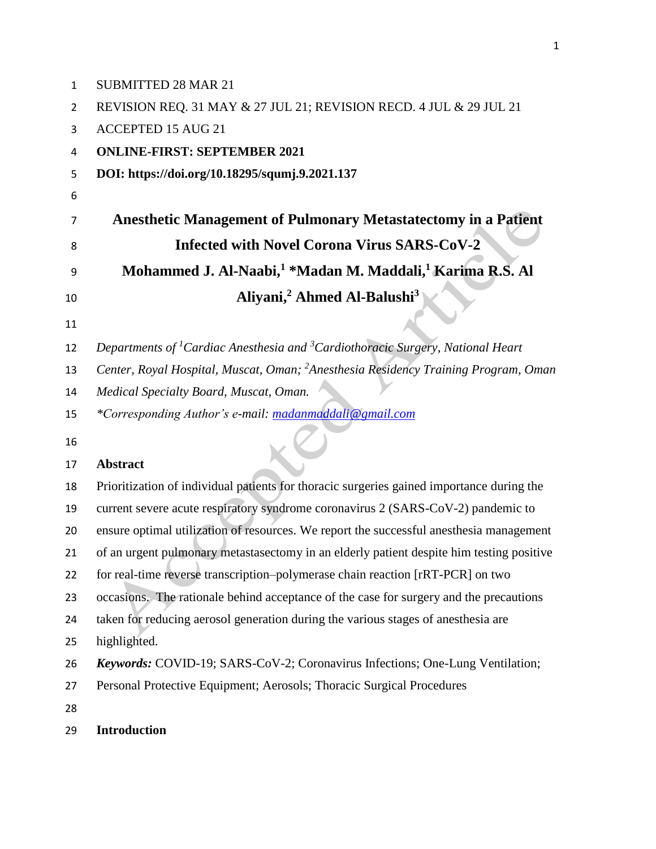| $\mathbf{1}$   | <b>SUBMITTED 28 MAR 21</b>                                                                             |
|----------------|--------------------------------------------------------------------------------------------------------|
| $\overline{2}$ | REVISION REQ. 31 MAY & 27 JUL 21; REVISION RECD. 4 JUL & 29 JUL 21                                     |
| 3              | <b>ACCEPTED 15 AUG 21</b>                                                                              |
| 4              | <b>ONLINE-FIRST: SEPTEMBER 2021</b>                                                                    |
| 5              | DOI: https://doi.org/10.18295/squmj.9.2021.137                                                         |
| 6              |                                                                                                        |
| 7              | <b>Anesthetic Management of Pulmonary Metastatectomy in a Patient</b>                                  |
| 8              | <b>Infected with Novel Corona Virus SARS-CoV-2</b>                                                     |
| 9              | Mohammed J. Al-Naabi, <sup>1</sup> *Madan M. Maddali, <sup>1</sup> Karima R.S. Al                      |
| 10             | Aliyani, <sup>2</sup> Ahmed Al-Balushi <sup>3</sup>                                                    |
| 11             |                                                                                                        |
| 12             | Departments of <sup>1</sup> Cardiac Anesthesia and <sup>3</sup> Cardiothoracic Surgery, National Heart |
| 13             | Center, Royal Hospital, Muscat, Oman; <sup>2</sup> Anesthesia Residency Training Program, Oman         |
| 14             | Medical Specialty Board, Muscat, Oman.                                                                 |
| 15             | *Corresponding Author's e-mail: madanmaddali@gmail.com                                                 |
| 16             |                                                                                                        |
| 17             | <b>Abstract</b>                                                                                        |
| 18             | Prioritization of individual patients for thoracic surgeries gained importance during the              |
| 19             | current severe acute respiratory syndrome coronavirus 2 (SARS-CoV-2) pandemic to                       |
| 20             | ensure optimal utilization of resources. We report the successful anesthesia management                |
| 21             | of an urgent pulmonary metastasectomy in an elderly patient despite him testing positive               |
| 22             | for real-time reverse transcription-polymerase chain reaction [rRT-PCR] on two                         |
| 23             | occasions. The rationale behind acceptance of the case for surgery and the precautions                 |
| 24             | taken for reducing aerosol generation during the various stages of anesthesia are                      |
| 25             | highlighted.                                                                                           |
| 26             | Keywords: COVID-19; SARS-CoV-2; Coronavirus Infections; One-Lung Ventilation;                          |
| 27             | Personal Protective Equipment; Aerosols; Thoracic Surgical Procedures                                  |
| 28             |                                                                                                        |
| 29             | <b>Introduction</b>                                                                                    |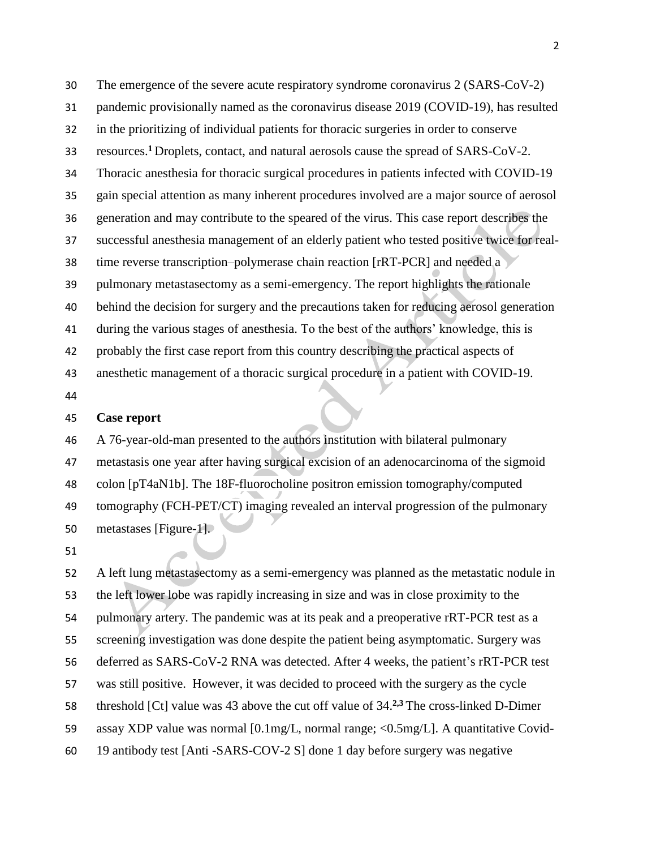The emergence of the severe acute respiratory syndrome coronavirus 2 (SARS-CoV-2) pandemic provisionally named as the coronavirus disease 2019 (COVID-19), has resulted in the prioritizing of individual patients for thoracic surgeries in order to conserve resources. **<sup>1</sup>**Droplets, contact, and natural aerosols cause the spread of SARS-CoV-2. Thoracic anesthesia for thoracic surgical procedures in patients infected with COVID-19 gain special attention as many inherent procedures involved are a major source of aerosol generation and may contribute to the speared of the virus. This case report describes the successful anesthesia management of an elderly patient who tested positive twice for real- time reverse transcription–polymerase chain reaction [rRT-PCR] and needed a pulmonary metastasectomy as a semi-emergency. The report highlights the rationale behind the decision for surgery and the precautions taken for reducing aerosol generation during the various stages of anesthesia. To the best of the authors' knowledge, this is probably the first case report from this country describing the practical aspects of anesthetic management of a thoracic surgical procedure in a patient with COVID-19. 

### **Case report**

 A 76-year-old-man presented to the authors institution with bilateral pulmonary metastasis one year after having surgical excision of an adenocarcinoma of the sigmoid colon [pT4aN1b]. The 18F-fluorocholine positron emission tomography/computed tomography (FCH-PET/CT) imaging revealed an interval progression of the pulmonary metastases [Figure-1].

 A left lung metastasectomy as a semi-emergency was planned as the metastatic nodule in the left lower lobe was rapidly increasing in size and was in close proximity to the pulmonary artery. The pandemic was at its peak and a preoperative rRT-PCR test as a screening investigation was done despite the patient being asymptomatic. Surgery was deferred as SARS-CoV-2 RNA was detected. After 4 weeks, the patient's rRT-PCR test was still positive. However, it was decided to proceed with the surgery as the cycle 58 threshold [Ct] value was 43 above the cut off value of 34.<sup>2,3</sup> The cross-linked D-Dimer assay XDP value was normal [0.1mg/L, normal range; <0.5mg/L]. A quantitative Covid-19 antibody test [Anti -SARS-COV-2 S] done 1 day before surgery was negative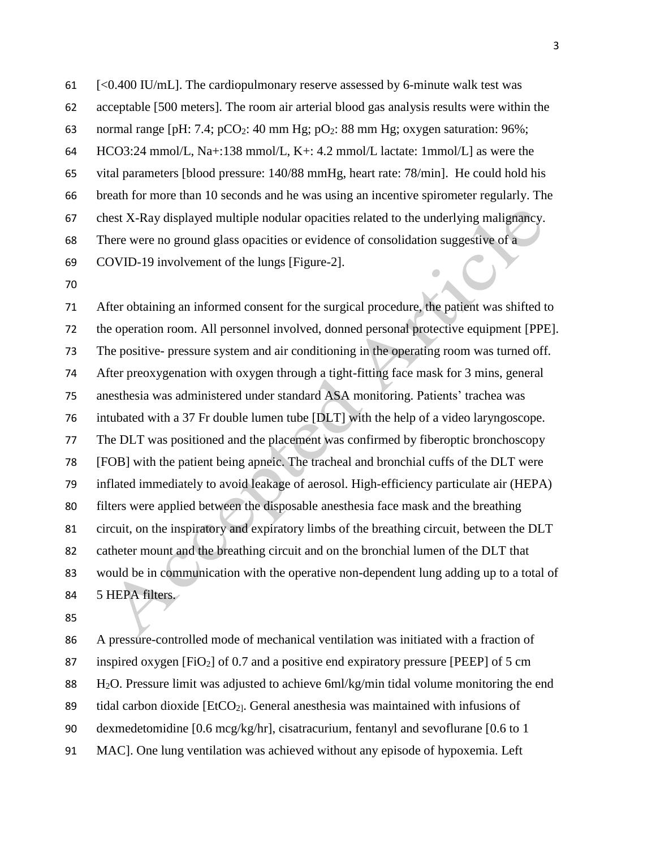[<0.400 IU/mL]. The cardiopulmonary reserve assessed by 6-minute walk test was

acceptable [500 meters]. The room air arterial blood gas analysis results were within the

63 normal range [pH: 7.4; pCO<sub>2</sub>: 40 mm Hg; pO<sub>2</sub>: 88 mm Hg; oxygen saturation: 96%;

HCO3:24 mmol/L, Na+:138 mmol/L, K+: 4.2 mmol/L lactate: 1mmol/L] as were the

vital parameters [blood pressure: 140/88 mmHg, heart rate: 78/min]. He could hold his

breath for more than 10 seconds and he was using an incentive spirometer regularly. The

chest X-Ray displayed multiple nodular opacities related to the underlying malignancy.

There were no ground glass opacities or evidence of consolidation suggestive of a

- COVID-19 involvement of the lungs [Figure-2].
- 

 After obtaining an informed consent for the surgical procedure, the patient was shifted to the operation room. All personnel involved, donned personal protective equipment [PPE]. The positive- pressure system and air conditioning in the operating room was turned off. After preoxygenation with oxygen through a tight-fitting face mask for 3 mins, general anesthesia was administered under standard ASA monitoring. Patients' trachea was intubated with a 37 Fr double lumen tube [DLT] with the help of a video laryngoscope. The DLT was positioned and the placement was confirmed by fiberoptic bronchoscopy [FOB] with the patient being apneic. The tracheal and bronchial cuffs of the DLT were inflated immediately to avoid leakage of aerosol. High-efficiency particulate air (HEPA) filters were applied between the disposable anesthesia face mask and the breathing circuit, on the inspiratory and expiratory limbs of the breathing circuit, between the DLT catheter mount and the breathing circuit and on the bronchial lumen of the DLT that would be in communication with the operative non-dependent lung adding up to a total of 5 HEPA filters.

 A pressure-controlled mode of mechanical ventilation was initiated with a fraction of inspired oxygen [FiO2] of 0.7 and a positive end expiratory pressure [PEEP] of 5 cm H2O. Pressure limit was adjusted to achieve 6ml/kg/min tidal volume monitoring the end 89 tidal carbon dioxide  $[EtCO<sub>2</sub>].$  General anesthesia was maintained with infusions of dexmedetomidine [0.6 mcg/kg/hr], cisatracurium, fentanyl and sevoflurane [0.6 to 1 MAC]. One lung ventilation was achieved without any episode of hypoxemia. Left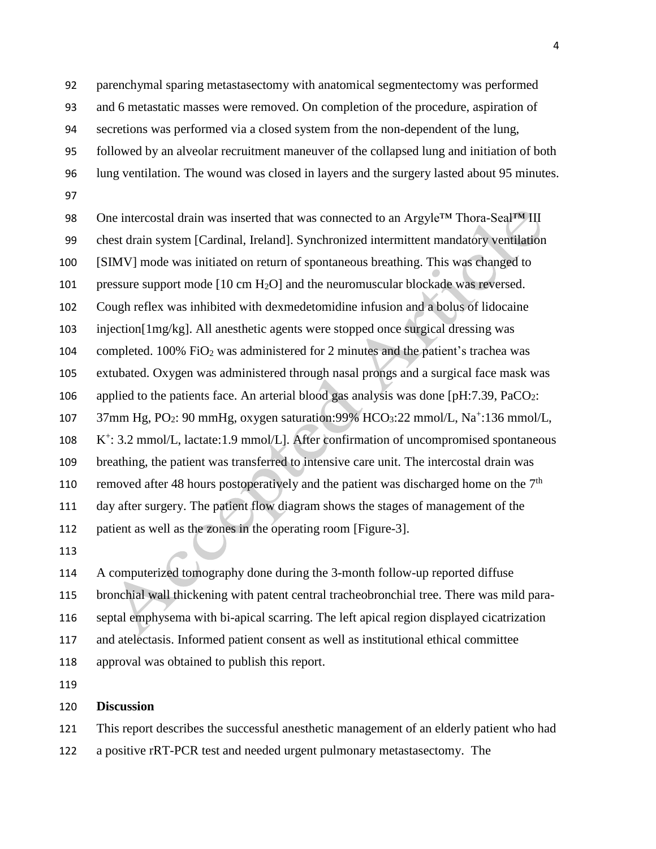parenchymal sparing metastasectomy with anatomical segmentectomy was performed and 6 metastatic masses were removed. On completion of the procedure, aspiration of secretions was performed via a closed system from the non-dependent of the lung, followed by an alveolar recruitment maneuver of the collapsed lung and initiation of both

 lung ventilation. The wound was closed in layers and the surgery lasted about 95 minutes. 

98 One intercostal drain was inserted that was connected to an Argyle™ Thora-Seal™ III chest drain system [Cardinal, Ireland]. Synchronized intermittent mandatory ventilation [SIMV] mode was initiated on return of spontaneous breathing. This was changed to pressure support mode [10 cm H2O] and the neuromuscular blockade was reversed. Cough reflex was inhibited with dexmedetomidine infusion and a bolus of lidocaine injection[1mg/kg]. All anesthetic agents were stopped once surgical dressing was completed. 100% FiO<sup>2</sup> was administered for 2 minutes and the patient's trachea was extubated. Oxygen was administered through nasal prongs and a surgical face mask was 106 applied to the patients face. An arterial blood gas analysis was done  $[pH:7.39, PaCO<sub>2</sub>:$ 107 37mm Hg, PO<sub>2</sub>: 90 mmHg, oxygen saturation: 99% HCO<sub>3</sub>: 22 mmol/L, Na<sup>+</sup>: 136 mmol/L, 108 K<sup>+</sup>: 3.2 mmol/L, lactate:1.9 mmol/L]. After confirmation of uncompromised spontaneous breathing, the patient was transferred to intensive care unit. The intercostal drain was 110 removed after 48 hours postoperatively and the patient was discharged home on the  $7<sup>th</sup>$  day after surgery. The patient flow diagram shows the stages of management of the patient as well as the zones in the operating room [Figure-3].

 A computerized tomography done during the 3-month follow-up reported diffuse bronchial wall thickening with patent central tracheobronchial tree. There was mild para- septal emphysema with bi-apical scarring. The left apical region displayed cicatrization and atelectasis. Informed patient consent as well as institutional ethical committee approval was obtained to publish this report.

### **Discussion**

This report describes the successful anesthetic management of an elderly patient who had

a positive rRT-PCR test and needed urgent pulmonary metastasectomy. The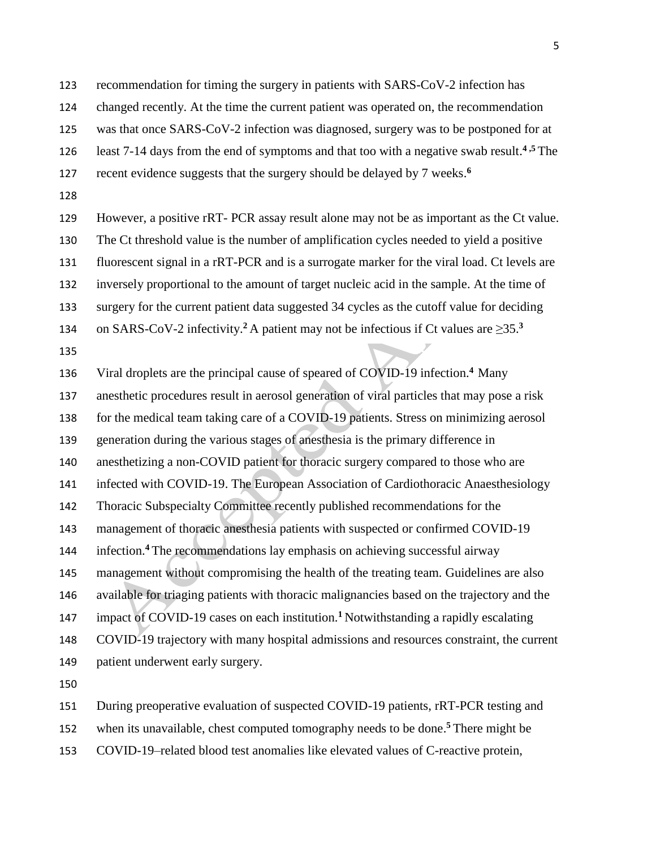recommendation for timing the surgery in patients with SARS-CoV-2 infection has

changed recently. At the time the current patient was operated on, the recommendation

was that once SARS-CoV-2 infection was diagnosed, surgery was to be postponed for at

126 least 7-14 days from the end of symptoms and that too with a negative swab result.<sup>4,5</sup> The

- 127 recent evidence suggests that the surgery should be delayed by 7 weeks.<sup>6</sup>
- 

 However, a positive rRT- PCR assay result alone may not be as important as the Ct value. The Ct threshold value is the number of amplification cycles needed to yield a positive fluorescent signal in a rRT-PCR and is a surrogate marker for the viral load. Ct levels are inversely proportional to the amount of target nucleic acid in the sample. At the time of surgery for the current patient data suggested 34 cycles as the cutoff value for deciding 134 on SARS-CoV-2 infectivity.<sup>2</sup> A patient may not be infectious if Ct values are  $\geq$ 35.<sup>3</sup>

136 Viral droplets are the principal cause of speared of COVID-19 infection.<sup>4</sup> Many

anesthetic procedures result in aerosol generation of viral particles that may pose a risk

for the medical team taking care of a COVID-19 patients. Stress on minimizing aerosol

generation during the various stages of anesthesia is the primary difference in

anesthetizing a non-COVID patient for thoracic surgery compared to those who are

infected with COVID-19. The European Association of Cardiothoracic Anaesthesiology

Thoracic Subspecialty Committee recently published recommendations for the

management of thoracic anesthesia patients with suspected or confirmed COVID-19

144 infection.<sup>4</sup> The recommendations lay emphasis on achieving successful airway

management without compromising the health of the treating team. Guidelines are also

available for triaging patients with thoracic malignancies based on the trajectory and the

147 impact of COVID-19 cases on each institution.<sup>1</sup> Notwithstanding a rapidly escalating

 COVID-19 trajectory with many hospital admissions and resources constraint, the current patient underwent early surgery.

During preoperative evaluation of suspected COVID-19 patients, rRT-PCR testing and

152 when its unavailable, chest computed tomography needs to be done.<sup>5</sup> There might be

COVID-19–related blood test anomalies like elevated values of C-reactive protein,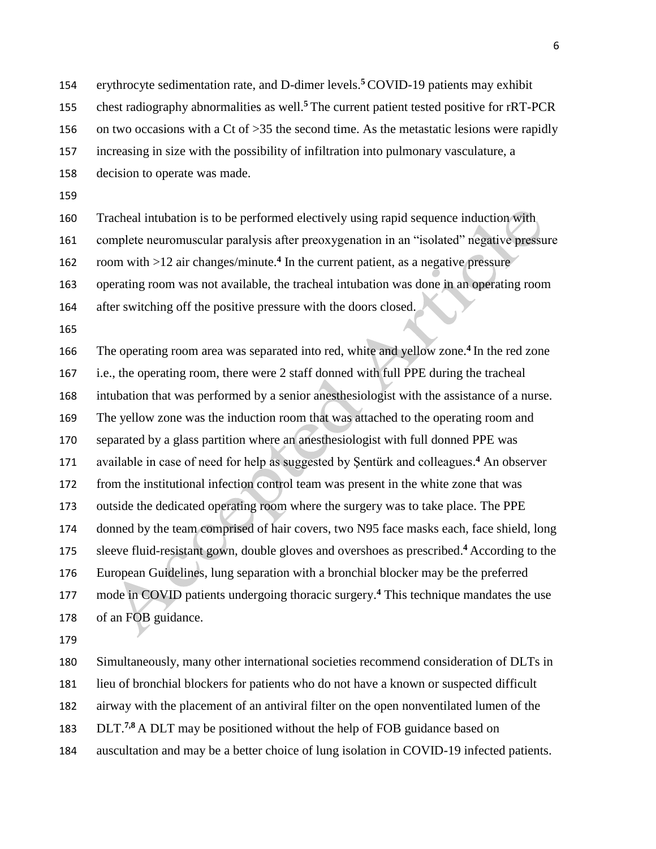154 erythrocyte sedimentation rate, and D-dimer levels.<sup>5</sup> COVID-19 patients may exhibit

155 chest radiography abnormalities as well.<sup>5</sup> The current patient tested positive for rRT-PCR

156 on two occasions with a Ct of > 35 the second time. As the metastatic lesions were rapidly

increasing in size with the possibility of infiltration into pulmonary vasculature, a

decision to operate was made.

Tracheal intubation is to be performed electively using rapid sequence induction with

complete neuromuscular paralysis after preoxygenation in an "isolated" negative pressure

162 room with >12 air changes/minute.<sup>4</sup> In the current patient, as a negative pressure

operating room was not available, the tracheal intubation was done in an operating room

after switching off the positive pressure with the doors closed.

166 The operating room area was separated into red, white and yellow zone.<sup>4</sup> In the red zone i.e., the operating room, there were 2 staff donned with full PPE during the tracheal intubation that was performed by a senior anesthesiologist with the assistance of a nurse. The yellow zone was the induction room that was attached to the operating room and separated by a glass partition where an anesthesiologist with full donned PPE was 171 available in case of need for help as suggested by Sentürk and colleagues.<sup>4</sup> An observer from the institutional infection control team was present in the white zone that was outside the dedicated operating room where the surgery was to take place. The PPE donned by the team comprised of hair covers, two N95 face masks each, face shield, long sleeve fluid-resistant gown, double gloves and overshoes as prescribed. **<sup>4</sup>**According to the European Guidelines, lung separation with a bronchial blocker may be the preferred 177 mode in COVID patients undergoing thoracic surgery.<sup>4</sup> This technique mandates the use of an FOB guidance.

 Simultaneously, many other international societies recommend consideration of DLTs in lieu of bronchial blockers for patients who do not have a known or suspected difficult airway with the placement of an antiviral filter on the open nonventilated lumen of the

**DLT.** 7,8 A DLT may be positioned without the help of FOB guidance based on

auscultation and may be a better choice of lung isolation in COVID-19 infected patients.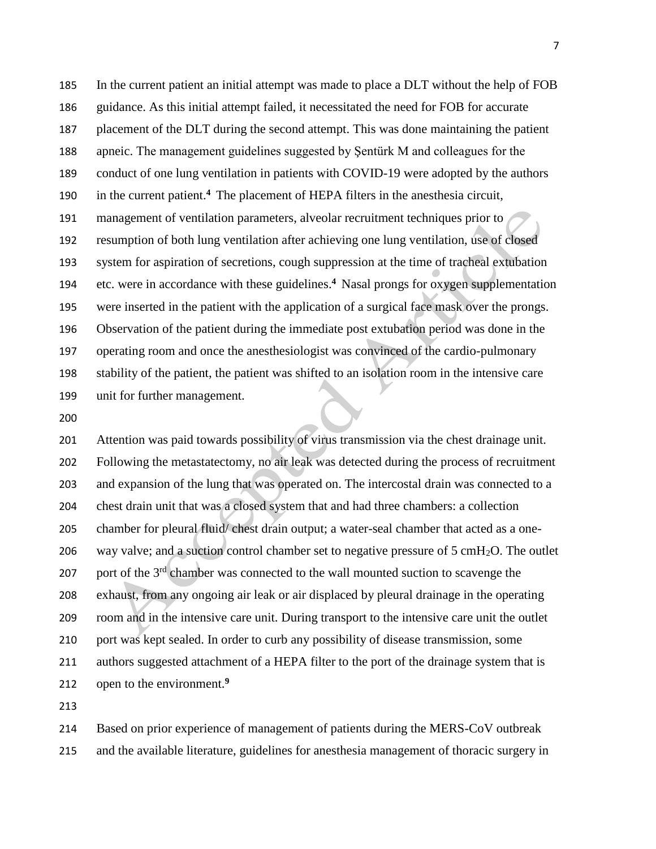In the current patient an initial attempt was made to place a DLT without the help of FOB guidance. As this initial attempt failed, it necessitated the need for FOB for accurate placement of the DLT during the second attempt. This was done maintaining the patient apneic. The management guidelines suggested by Şentürk M and colleagues for the conduct of one lung ventilation in patients with COVID-19 were adopted by the authors 190 in the current patient.<sup>4</sup> The placement of HEPA filters in the anesthesia circuit, management of ventilation parameters, alveolar recruitment techniques prior to resumption of both lung ventilation after achieving one lung ventilation, use of closed system for aspiration of secretions, cough suppression at the time of tracheal extubation 194 etc. were in accordance with these guidelines.<sup>4</sup> Nasal prongs for oxygen supplementation were inserted in the patient with the application of a surgical face mask over the prongs. Observation of the patient during the immediate post extubation period was done in the operating room and once the anesthesiologist was convinced of the cardio-pulmonary stability of the patient, the patient was shifted to an isolation room in the intensive care unit for further management.

 Attention was paid towards possibility of virus transmission via the chest drainage unit. Following the metastatectomy, no air leak was detected during the process of recruitment and expansion of the lung that was operated on. The intercostal drain was connected to a chest drain unit that was a closed system that and had three chambers: a collection chamber for pleural fluid/ chest drain output; a water-seal chamber that acted as a one-206 way valve; and a suction control chamber set to negative pressure of 5 cmH<sub>2</sub>O. The outlet 207 corr of the  $3<sup>rd</sup>$  chamber was connected to the wall mounted suction to scavenge the exhaust, from any ongoing air leak or air displaced by pleural drainage in the operating room and in the intensive care unit. During transport to the intensive care unit the outlet port was kept sealed. In order to curb any possibility of disease transmission, some authors suggested attachment of a HEPA filter to the port of the drainage system that is open to the environment.**<sup>9</sup>**

 Based on prior experience of management of patients during the MERS-CoV outbreak and the available literature, guidelines for anesthesia management of thoracic surgery in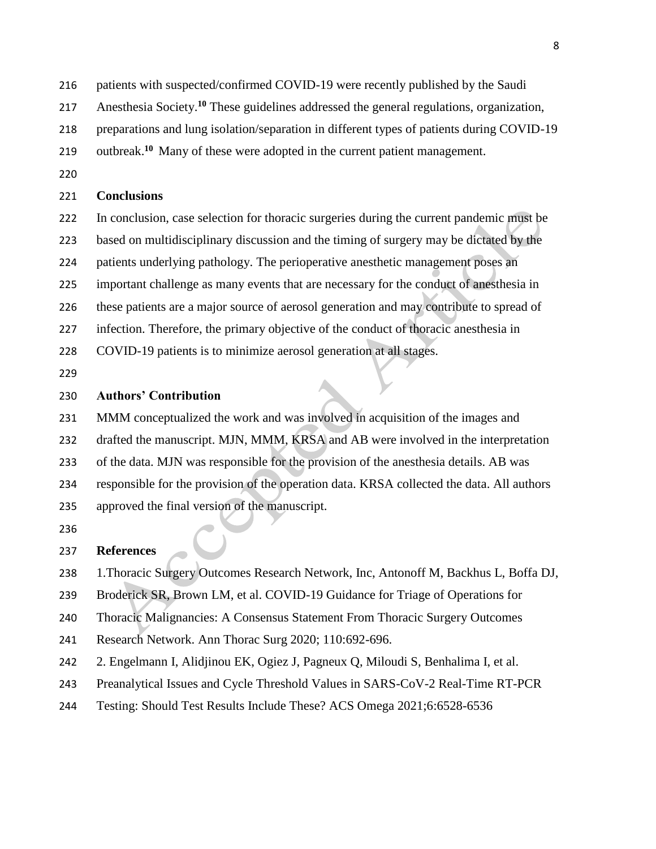- patients with suspected/confirmed COVID-19 were recently published by the Saudi
- 217 Anesthesia Society.<sup>10</sup> These guidelines addressed the general regulations, organization,
- preparations and lung isolation/separation in different types of patients during COVID-19
- 219 outbreak.<sup>10</sup> Many of these were adopted in the current patient management.
- 

### **Conclusions**

- In conclusion, case selection for thoracic surgeries during the current pandemic must be based on multidisciplinary discussion and the timing of surgery may be dictated by the patients underlying pathology. The perioperative anesthetic management poses an important challenge as many events that are necessary for the conduct of anesthesia in these patients are a major source of aerosol generation and may contribute to spread of infection. Therefore, the primary objective of the conduct of thoracic anesthesia in COVID-19 patients is to minimize aerosol generation at all stages.
- 

## **Authors' Contribution**

- MMM conceptualized the work and was involved in acquisition of the images and drafted the manuscript. MJN, MMM, KRSA and AB were involved in the interpretation
- of the data. MJN was responsible for the provision of the anesthesia details. AB was
- responsible for the provision of the operation data. KRSA collected the data. All authors
- approved the final version of the manuscript.
- 

# **References**

- 1.Thoracic Surgery Outcomes Research Network, Inc, Antonoff M, Backhus L, Boffa DJ,
- Broderick SR, Brown LM, et al. COVID-19 Guidance for Triage of Operations for
- Thoracic Malignancies: A Consensus Statement From Thoracic Surgery Outcomes
- Research Network. Ann Thorac Surg 2020; 110:692-696.
- 2. Engelmann I, Alidjinou EK, Ogiez J, Pagneux Q, Miloudi S, Benhalima I, et al.
- Preanalytical Issues and Cycle Threshold Values in SARS-CoV-2 Real-Time RT-PCR
- Testing: Should Test Results Include These? ACS Omega 2021;6:6528-6536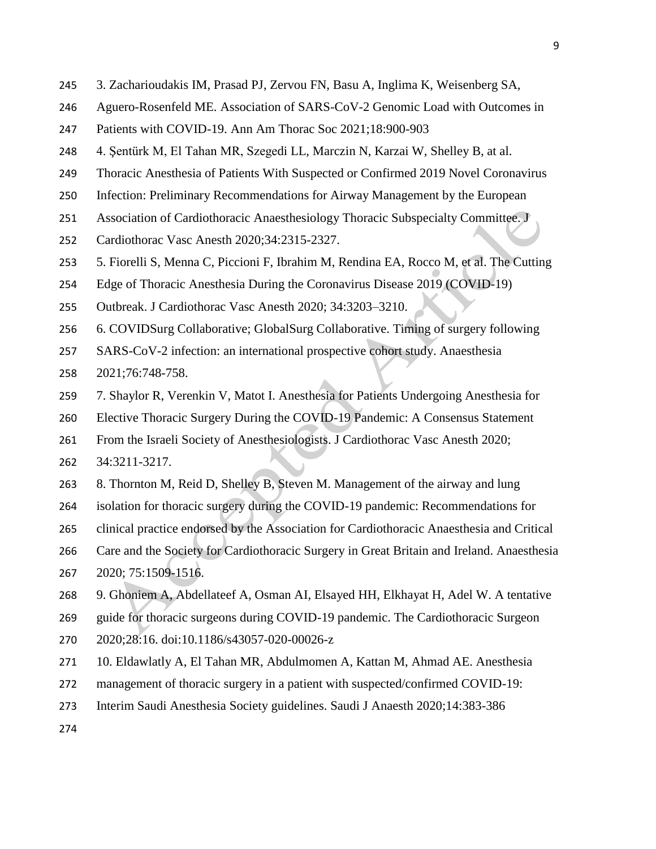- 3. Zacharioudakis IM, Prasad PJ, Zervou FN, Basu A, Inglima K, Weisenberg SA,
- Aguero-Rosenfeld ME. Association of SARS-CoV-2 Genomic Load with Outcomes in
- Patients with COVID-19. Ann Am Thorac Soc 2021;18:900-903
- 4. Şentürk M, El Tahan MR, Szegedi LL, Marczin N, Karzai W, Shelley B, at al.
- Thoracic Anesthesia of Patients With Suspected or Confirmed 2019 Novel Coronavirus
- Infection: Preliminary Recommendations for Airway Management by the European
- Association of Cardiothoracic Anaesthesiology Thoracic Subspecialty Committee. J
- Cardiothorac Vasc Anesth 2020;34:2315-2327.
- 5. Fiorelli S, Menna C, Piccioni F, Ibrahim M, Rendina EA, Rocco M, et al. The Cutting
- Edge of Thoracic Anesthesia During the Coronavirus Disease 2019 (COVID-19)
- Outbreak. J Cardiothorac Vasc Anesth 2020; 34:3203–3210.
- 6. COVIDSurg Collaborative; GlobalSurg Collaborative. Timing of surgery following
- SARS-CoV-2 infection: an international prospective cohort study. Anaesthesia
- 2021;76:748-758.
- 7. Shaylor R, Verenkin V, Matot I. Anesthesia for Patients Undergoing Anesthesia for
- Elective Thoracic Surgery During the COVID-19 Pandemic: A Consensus Statement
- From the Israeli Society of Anesthesiologists. J Cardiothorac Vasc Anesth 2020;
- 34:3211-3217.
- 8. Thornton M, Reid D, Shelley B, Steven M. Management of the airway and lung
- isolation for thoracic surgery during the COVID-19 pandemic: Recommendations for
- clinical practice endorsed by the Association for Cardiothoracic Anaesthesia and Critical
- Care and the Society for Cardiothoracic Surgery in Great Britain and Ireland. Anaesthesia 2020; 75:1509-1516.
- 9. Ghoniem A, Abdellateef A, Osman AI, Elsayed HH, Elkhayat H, Adel W. A tentative
- guide for thoracic surgeons during COVID-19 pandemic. The Cardiothoracic Surgeon
- 2020;28:16. doi:10.1186/s43057-020-00026-z
- 10. Eldawlatly A, El Tahan MR, Abdulmomen A, Kattan M, Ahmad AE. Anesthesia
- management of thoracic surgery in a patient with suspected/confirmed COVID-19:
- Interim Saudi Anesthesia Society guidelines. Saudi J Anaesth 2020;14:383-386
-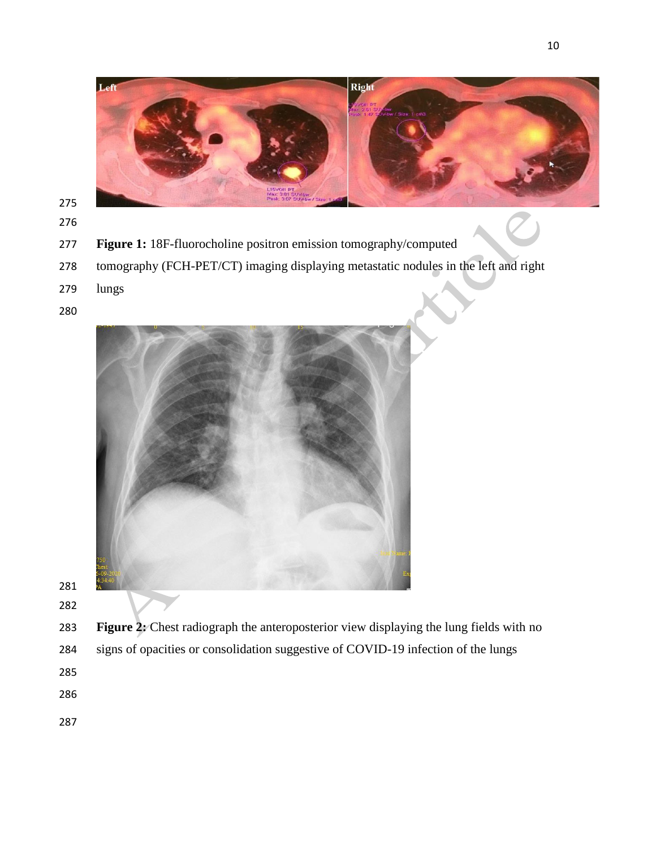

- 
- 
- **Figure 1:** 18F-fluorocholine positron emission tomography/computed
- tomography (FCH-PET/CT) imaging displaying metastatic nodules in the left and right
- lungs
- 



- 
- 

 **Figure 2:** Chest radiograph the anteroposterior view displaying the lung fields with no signs of opacities or consolidation suggestive of COVID-19 infection of the lungs

- 
- 
-